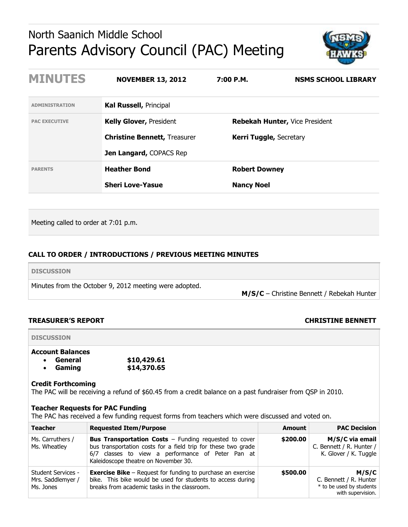# North Saanich Middle School Parents Advisory Council (PAC) Meeting



| <b>MINUTES</b>        | <b>NOVEMBER 13, 2012</b>            | 7:00 P.M.                      | <b>NSMS SCHOOL LIBRARY</b>            |
|-----------------------|-------------------------------------|--------------------------------|---------------------------------------|
| <b>ADMINISTRATION</b> | <b>Kal Russell, Principal</b>       |                                |                                       |
| <b>PAC EXECUTIVE</b>  | <b>Kelly Glover, President</b>      |                                | <b>Rebekah Hunter, Vice President</b> |
|                       | <b>Christine Bennett, Treasurer</b> | <b>Kerri Tuggle, Secretary</b> |                                       |
|                       | <b>Jen Langard, COPACS Rep</b>      |                                |                                       |
| <b>PARENTS</b>        | <b>Heather Bond</b>                 | <b>Robert Downey</b>           |                                       |
|                       | <b>Sheri Love-Yasue</b>             | <b>Nancy Noel</b>              |                                       |

Meeting called to order at 7:01 p.m.

## **CALL TO ORDER / INTRODUCTIONS / PREVIOUS MEETING MINUTES**

| <b>DISCUSSION</b>                                      |                                              |
|--------------------------------------------------------|----------------------------------------------|
| Minutes from the October 9, 2012 meeting were adopted. | $M/S/C$ – Christine Bennett / Rebekah Hunter |

### **TREASURER'S REPORT CHRISTINE BENNETT**

# **DISCUSSION**

# **Account Balances**

| General | \$10,429.61 |
|---------|-------------|
| Gaming  | \$14,370.65 |

#### **Credit Forthcoming**

The PAC will be receiving a refund of \$60.45 from a credit balance on a past fundraiser from QSP in 2010.

#### **Teacher Requests for PAC Funding**

The PAC has received a few funding request forms from teachers which were discussed and voted on.

| <b>Teacher</b>                                                                                                                                                                                                                              | <b>Requested Item/Purpose</b>                                                                                                                                                                                              | Amount   | <b>PAC Decision</b>                                                              |
|---------------------------------------------------------------------------------------------------------------------------------------------------------------------------------------------------------------------------------------------|----------------------------------------------------------------------------------------------------------------------------------------------------------------------------------------------------------------------------|----------|----------------------------------------------------------------------------------|
| Ms. Carruthers /<br>Ms. Wheatley                                                                                                                                                                                                            | <b>Bus Transportation Costs - Funding requested to cover</b><br>bus transportation costs for a field trip for these two grade<br>6/7 classes to view a performance of Peter Pan at<br>Kaleidoscope theatre on November 30. | \$200.00 | M/S/C via email<br>C. Bennett / R. Hunter /<br>K. Glover / K. Tuggle             |
| <b>Exercise Bike</b> $-$ Request for funding to purchase an exercise<br>Student Services -<br>bike. This bike would be used for students to access during<br>Mrs. Saddlemyer /<br>breaks from academic tasks in the classroom.<br>Ms. Jones |                                                                                                                                                                                                                            | \$500.00 | M/S/C<br>C. Bennett / R. Hunter<br>* to be used by students<br>with supervision. |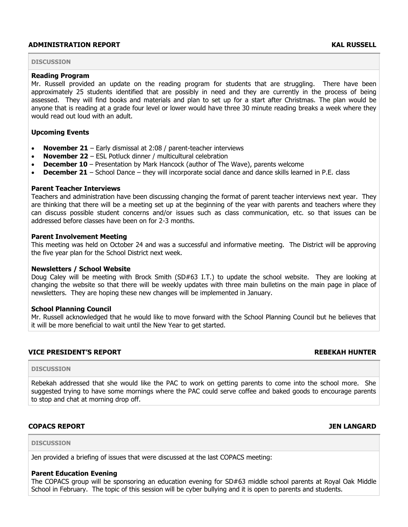### **ADMINISTRATION REPORT KAL RUSSELL**

#### **DISCUSSION**

#### **Reading Program**

Mr. Russell provided an update on the reading program for students that are struggling. There have been approximately 25 students identified that are possibly in need and they are currently in the process of being assessed. They will find books and materials and plan to set up for a start after Christmas. The plan would be anyone that is reading at a grade four level or lower would have three 30 minute reading breaks a week where they would read out loud with an adult.

### **Upcoming Events**

- **November 21** Early dismissal at 2:08 / parent-teacher interviews
- **November 22** ESL Potluck dinner / multicultural celebration
- **December 10**  Presentation by Mark Hancock (author of The Wave), parents welcome
- **December 21** School Dance they will incorporate social dance and dance skills learned in P.E. class

### **Parent Teacher Interviews**

Teachers and administration have been discussing changing the format of parent teacher interviews next year. They are thinking that there will be a meeting set up at the beginning of the year with parents and teachers where they can discuss possible student concerns and/or issues such as class communication, etc. so that issues can be addressed before classes have been on for 2-3 months.

#### **Parent Involvement Meeting**

This meeting was held on October 24 and was a successful and informative meeting. The District will be approving the five year plan for the School District next week.

#### **Newsletters / School Website**

Doug Caley will be meeting with Brock Smith (SD#63 I.T.) to update the school website. They are looking at changing the website so that there will be weekly updates with three main bulletins on the main page in place of newsletters. They are hoping these new changes will be implemented in January.

#### **School Planning Council**

Mr. Russell acknowledged that he would like to move forward with the School Planning Council but he believes that it will be more beneficial to wait until the New Year to get started.

### **VICE PRESIDENT'S REPORT REBEKAH HUNTER**

#### **DISCUSSION**

Rebekah addressed that she would like the PAC to work on getting parents to come into the school more. She suggested trying to have some mornings where the PAC could serve coffee and baked goods to encourage parents to stop and chat at morning drop off.

### **COPACS REPORT JEN LANGARD**

#### **DISCUSSION**

Jen provided a briefing of issues that were discussed at the last COPACS meeting:

#### **Parent Education Evening**

The COPACS group will be sponsoring an education evening for SD#63 middle school parents at Royal Oak Middle School in February. The topic of this session will be cyber bullying and it is open to parents and students.